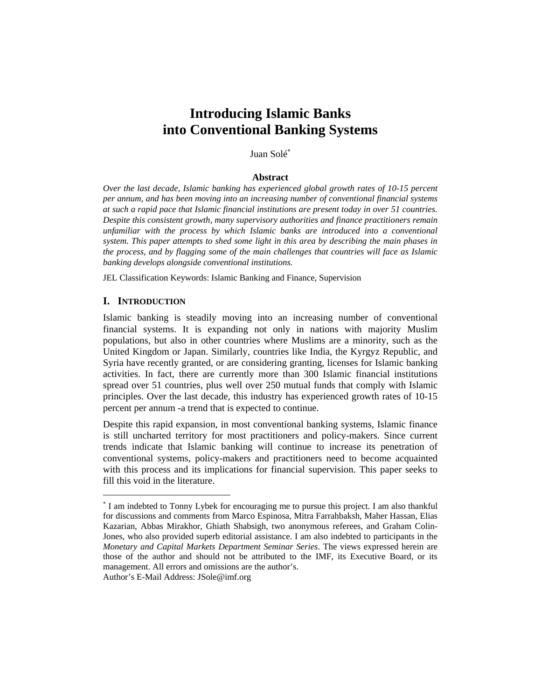# **Introducing Islamic Banks into Conventional Banking Systems**

## Juan Solé<sup>∗</sup>

#### **Abstract**

*Over the last decade, Islamic banking has experienced global growth rates of 10-15 percent per annum, and has been moving into an increasing number of conventional financial systems at such a rapid pace that Islamic financial institutions are present today in over 51 countries. Despite this consistent growth, many supervisory authorities and finance practitioners remain unfamiliar with the process by which Islamic banks are introduced into a conventional system. This paper attempts to shed some light in this area by describing the main phases in the process, and by flagging some of the main challenges that countries will face as Islamic banking develops alongside conventional institutions.* 

JEL Classification Keywords: Islamic Banking and Finance, Supervision

## **I. INTRODUCTION**

 $\overline{a}$ 

Islamic banking is steadily moving into an increasing number of conventional financial systems. It is expanding not only in nations with majority Muslim populations, but also in other countries where Muslims are a minority, such as the United Kingdom or Japan. Similarly, countries like India, the Kyrgyz Republic, and Syria have recently granted, or are considering granting, licenses for Islamic banking activities. In fact, there are currently more than 300 Islamic financial institutions spread over 51 countries, plus well over 250 mutual funds that comply with Islamic principles. Over the last decade, this industry has experienced growth rates of 10-15 percent per annum -a trend that is expected to continue.

Despite this rapid expansion, in most conventional banking systems, Islamic finance is still uncharted territory for most practitioners and policy-makers. Since current trends indicate that Islamic banking will continue to increase its penetration of conventional systems, policy-makers and practitioners need to become acquainted with this process and its implications for financial supervision. This paper seeks to fill this void in the literature.

<sup>∗</sup> I am indebted to Tonny Lybek for encouraging me to pursue this project. I am also thankful for discussions and comments from Marco Espinosa, Mitra Farrahbaksh, Maher Hassan, Elias Kazarian, Abbas Mirakhor, Ghiath Shabsigh, two anonymous referees, and Graham Colin-Jones, who also provided superb editorial assistance. I am also indebted to participants in the *Monetary and Capital Markets Department Seminar Series*. The views expressed herein are those of the author and should not be attributed to the IMF, its Executive Board, or its management. All errors and omissions are the author's. Author's E-Mail Address: JSole@imf.org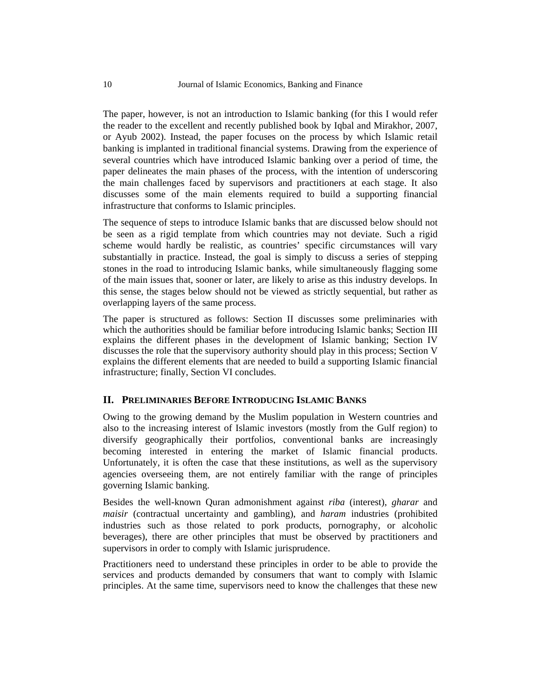The paper, however, is not an introduction to Islamic banking (for this I would refer the reader to the excellent and recently published book by Iqbal and Mirakhor, 2007, or Ayub 2002). Instead, the paper focuses on the process by which Islamic retail banking is implanted in traditional financial systems. Drawing from the experience of several countries which have introduced Islamic banking over a period of time, the paper delineates the main phases of the process, with the intention of underscoring the main challenges faced by supervisors and practitioners at each stage. It also discusses some of the main elements required to build a supporting financial infrastructure that conforms to Islamic principles.

The sequence of steps to introduce Islamic banks that are discussed below should not be seen as a rigid template from which countries may not deviate. Such a rigid scheme would hardly be realistic, as countries' specific circumstances will vary substantially in practice. Instead, the goal is simply to discuss a series of stepping stones in the road to introducing Islamic banks, while simultaneously flagging some of the main issues that, sooner or later, are likely to arise as this industry develops. In this sense, the stages below should not be viewed as strictly sequential, but rather as overlapping layers of the same process.

The paper is structured as follows: Section II discusses some preliminaries with which the authorities should be familiar before introducing Islamic banks; Section III explains the different phases in the development of Islamic banking; Section IV discusses the role that the supervisory authority should play in this process; Section V explains the different elements that are needed to build a supporting Islamic financial infrastructure; finally, Section VI concludes.

## **II. PRELIMINARIES BEFORE INTRODUCING ISLAMIC BANKS**

Owing to the growing demand by the Muslim population in Western countries and also to the increasing interest of Islamic investors (mostly from the Gulf region) to diversify geographically their portfolios, conventional banks are increasingly becoming interested in entering the market of Islamic financial products. Unfortunately, it is often the case that these institutions, as well as the supervisory agencies overseeing them, are not entirely familiar with the range of principles governing Islamic banking.

Besides the well-known Quran admonishment against *riba* (interest), *gharar* and *maisir* (contractual uncertainty and gambling), and *haram* industries (prohibited industries such as those related to pork products, pornography, or alcoholic beverages), there are other principles that must be observed by practitioners and supervisors in order to comply with Islamic jurisprudence.

Practitioners need to understand these principles in order to be able to provide the services and products demanded by consumers that want to comply with Islamic principles. At the same time, supervisors need to know the challenges that these new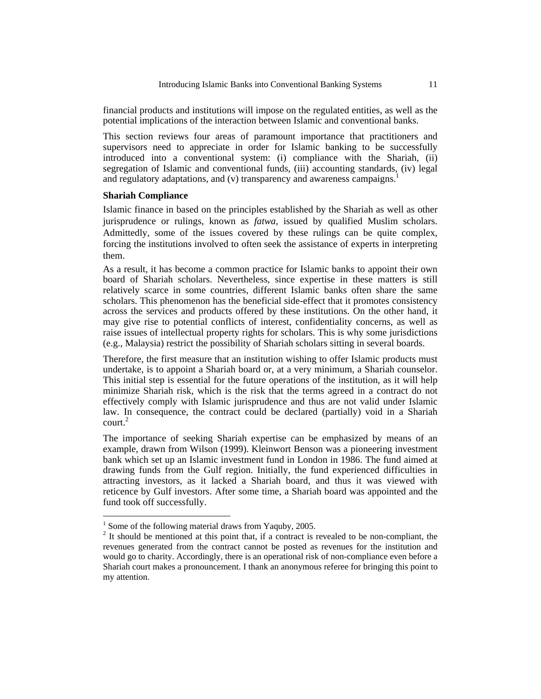financial products and institutions will impose on the regulated entities, as well as the potential implications of the interaction between Islamic and conventional banks.

This section reviews four areas of paramount importance that practitioners and supervisors need to appreciate in order for Islamic banking to be successfully introduced into a conventional system: (i) compliance with the Shariah, (ii) segregation of Islamic and conventional funds, (iii) accounting standards, (iv) legal and regulatory adaptations, and (v) transparency and awareness campaigns.<sup>1</sup>

#### **Shariah Compliance**

Islamic finance in based on the principles established by the Shariah as well as other jurisprudence or rulings, known as *fatwa*, issued by qualified Muslim scholars. Admittedly, some of the issues covered by these rulings can be quite complex, forcing the institutions involved to often seek the assistance of experts in interpreting them.

As a result, it has become a common practice for Islamic banks to appoint their own board of Shariah scholars. Nevertheless, since expertise in these matters is still relatively scarce in some countries, different Islamic banks often share the same scholars. This phenomenon has the beneficial side-effect that it promotes consistency across the services and products offered by these institutions. On the other hand, it may give rise to potential conflicts of interest, confidentiality concerns, as well as raise issues of intellectual property rights for scholars. This is why some jurisdictions (e.g., Malaysia) restrict the possibility of Shariah scholars sitting in several boards.

Therefore, the first measure that an institution wishing to offer Islamic products must undertake, is to appoint a Shariah board or, at a very minimum, a Shariah counselor. This initial step is essential for the future operations of the institution, as it will help minimize Shariah risk, which is the risk that the terms agreed in a contract do not effectively comply with Islamic jurisprudence and thus are not valid under Islamic law. In consequence, the contract could be declared (partially) void in a Shariah court.<sup>2</sup>

The importance of seeking Shariah expertise can be emphasized by means of an example, drawn from Wilson (1999). Kleinwort Benson was a pioneering investment bank which set up an Islamic investment fund in London in 1986. The fund aimed at drawing funds from the Gulf region. Initially, the fund experienced difficulties in attracting investors, as it lacked a Shariah board, and thus it was viewed with reticence by Gulf investors. After some time, a Shariah board was appointed and the fund took off successfully.

<sup>&</sup>lt;sup>1</sup> Some of the following material draws from Yaquby, 2005.

 $2<sup>2</sup>$  It should be mentioned at this point that, if a contract is revealed to be non-compliant, the revenues generated from the contract cannot be posted as revenues for the institution and would go to charity. Accordingly, there is an operational risk of non-compliance even before a Shariah court makes a pronouncement. I thank an anonymous referee for bringing this point to my attention.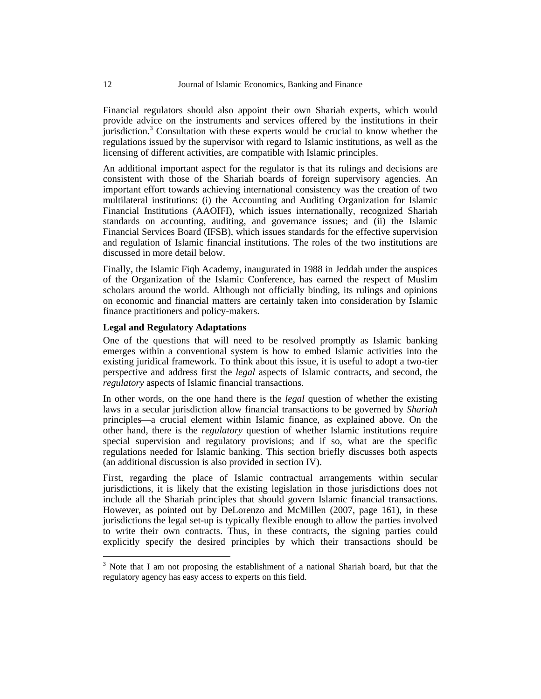Financial regulators should also appoint their own Shariah experts, which would provide advice on the instruments and services offered by the institutions in their jurisdiction.<sup>3</sup> Consultation with these experts would be crucial to know whether the regulations issued by the supervisor with regard to Islamic institutions, as well as the licensing of different activities, are compatible with Islamic principles.

An additional important aspect for the regulator is that its rulings and decisions are consistent with those of the Shariah boards of foreign supervisory agencies. An important effort towards achieving international consistency was the creation of two multilateral institutions: (i) the Accounting and Auditing Organization for Islamic Financial Institutions (AAOIFI), which issues internationally, recognized Shariah standards on accounting, auditing, and governance issues; and (ii) the Islamic Financial Services Board (IFSB), which issues standards for the effective supervision and regulation of Islamic financial institutions. The roles of the two institutions are discussed in more detail below.

Finally, the Islamic Fiqh Academy, inaugurated in 1988 in Jeddah under the auspices of the Organization of the Islamic Conference, has earned the respect of Muslim scholars around the world. Although not officially binding, its rulings and opinions on economic and financial matters are certainly taken into consideration by Islamic finance practitioners and policy-makers.

## **Legal and Regulatory Adaptations**

One of the questions that will need to be resolved promptly as Islamic banking emerges within a conventional system is how to embed Islamic activities into the existing juridical framework. To think about this issue, it is useful to adopt a two-tier perspective and address first the *legal* aspects of Islamic contracts, and second, the *regulatory* aspects of Islamic financial transactions.

In other words, on the one hand there is the *legal* question of whether the existing laws in a secular jurisdiction allow financial transactions to be governed by *Shariah* principles—a crucial element within Islamic finance, as explained above. On the other hand, there is the *regulatory* question of whether Islamic institutions require special supervision and regulatory provisions; and if so, what are the specific regulations needed for Islamic banking. This section briefly discusses both aspects (an additional discussion is also provided in section IV).

First, regarding the place of Islamic contractual arrangements within secular jurisdictions, it is likely that the existing legislation in those jurisdictions does not include all the Shariah principles that should govern Islamic financial transactions. However, as pointed out by DeLorenzo and McMillen (2007, page 161), in these jurisdictions the legal set-up is typically flexible enough to allow the parties involved to write their own contracts. Thus, in these contracts, the signing parties could explicitly specify the desired principles by which their transactions should be

 $3$  Note that I am not proposing the establishment of a national Shariah board, but that the regulatory agency has easy access to experts on this field.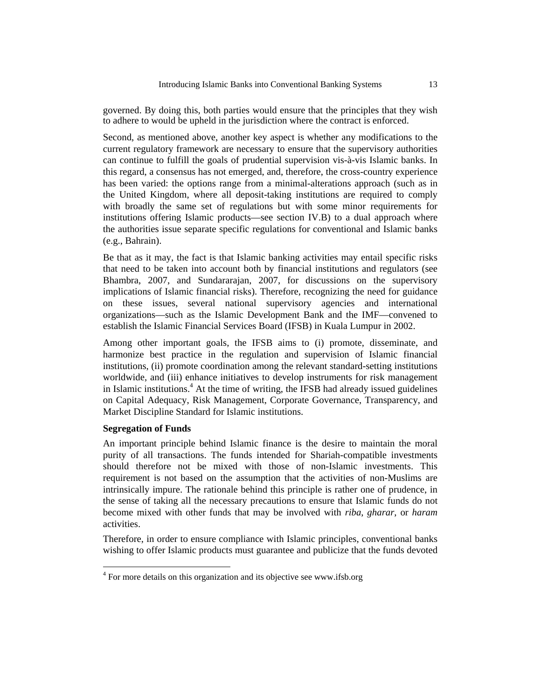governed. By doing this, both parties would ensure that the principles that they wish to adhere to would be upheld in the jurisdiction where the contract is enforced.

Second, as mentioned above, another key aspect is whether any modifications to the current regulatory framework are necessary to ensure that the supervisory authorities can continue to fulfill the goals of prudential supervision vis-à-vis Islamic banks. In this regard, a consensus has not emerged, and, therefore, the cross-country experience has been varied: the options range from a minimal-alterations approach (such as in the United Kingdom, where all deposit-taking institutions are required to comply with broadly the same set of regulations but with some minor requirements for institutions offering Islamic products—see section IV.B) to a dual approach where the authorities issue separate specific regulations for conventional and Islamic banks (e.g., Bahrain).

Be that as it may, the fact is that Islamic banking activities may entail specific risks that need to be taken into account both by financial institutions and regulators (see Bhambra, 2007, and Sundararajan, 2007, for discussions on the supervisory implications of Islamic financial risks). Therefore, recognizing the need for guidance on these issues, several national supervisory agencies and international organizations—such as the Islamic Development Bank and the IMF—convened to establish the Islamic Financial Services Board (IFSB) in Kuala Lumpur in 2002.

Among other important goals, the IFSB aims to (i) promote, disseminate, and harmonize best practice in the regulation and supervision of Islamic financial institutions, (ii) promote coordination among the relevant standard-setting institutions worldwide, and (iii) enhance initiatives to develop instruments for risk management in Islamic institutions.<sup>4</sup> At the time of writing, the IFSB had already issued guidelines on Capital Adequacy, Risk Management, Corporate Governance, Transparency, and Market Discipline Standard for Islamic institutions.

#### **Segregation of Funds**

 $\overline{a}$ 

An important principle behind Islamic finance is the desire to maintain the moral purity of all transactions. The funds intended for Shariah-compatible investments should therefore not be mixed with those of non-Islamic investments. This requirement is not based on the assumption that the activities of non-Muslims are intrinsically impure. The rationale behind this principle is rather one of prudence, in the sense of taking all the necessary precautions to ensure that Islamic funds do not become mixed with other funds that may be involved with *riba*, *gharar*, or *haram* activities.

Therefore, in order to ensure compliance with Islamic principles, conventional banks wishing to offer Islamic products must guarantee and publicize that the funds devoted

<sup>&</sup>lt;sup>4</sup> For more details on this organization and its objective see www.ifsb.org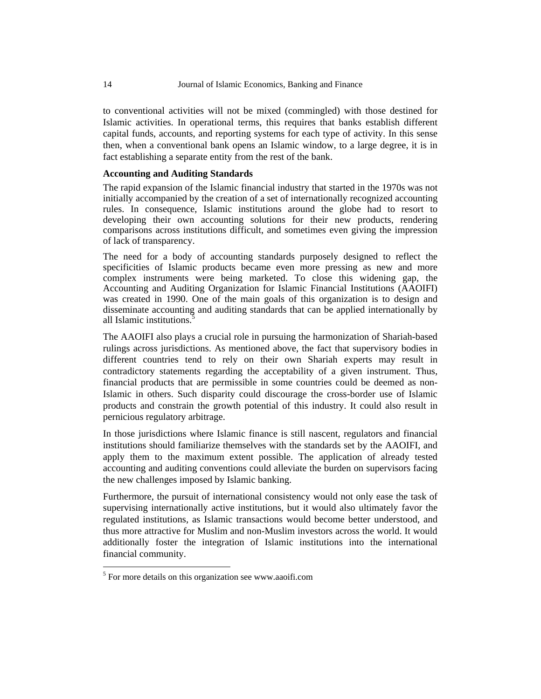to conventional activities will not be mixed (commingled) with those destined for Islamic activities. In operational terms, this requires that banks establish different capital funds, accounts, and reporting systems for each type of activity. In this sense then, when a conventional bank opens an Islamic window, to a large degree, it is in fact establishing a separate entity from the rest of the bank.

#### **Accounting and Auditing Standards**

The rapid expansion of the Islamic financial industry that started in the 1970s was not initially accompanied by the creation of a set of internationally recognized accounting rules. In consequence, Islamic institutions around the globe had to resort to developing their own accounting solutions for their new products, rendering comparisons across institutions difficult, and sometimes even giving the impression of lack of transparency.

The need for a body of accounting standards purposely designed to reflect the specificities of Islamic products became even more pressing as new and more complex instruments were being marketed. To close this widening gap, the Accounting and Auditing Organization for Islamic Financial Institutions (AAOIFI) was created in 1990. One of the main goals of this organization is to design and disseminate accounting and auditing standards that can be applied internationally by all Islamic institutions.<sup>5</sup>

The AAOIFI also plays a crucial role in pursuing the harmonization of Shariah-based rulings across jurisdictions. As mentioned above, the fact that supervisory bodies in different countries tend to rely on their own Shariah experts may result in contradictory statements regarding the acceptability of a given instrument. Thus, financial products that are permissible in some countries could be deemed as non-Islamic in others. Such disparity could discourage the cross-border use of Islamic products and constrain the growth potential of this industry. It could also result in pernicious regulatory arbitrage.

In those jurisdictions where Islamic finance is still nascent, regulators and financial institutions should familiarize themselves with the standards set by the AAOIFI, and apply them to the maximum extent possible. The application of already tested accounting and auditing conventions could alleviate the burden on supervisors facing the new challenges imposed by Islamic banking.

Furthermore, the pursuit of international consistency would not only ease the task of supervising internationally active institutions, but it would also ultimately favor the regulated institutions, as Islamic transactions would become better understood, and thus more attractive for Muslim and non-Muslim investors across the world. It would additionally foster the integration of Islamic institutions into the international financial community.

<sup>&</sup>lt;sup>5</sup> For more details on this organization see www.aaoifi.com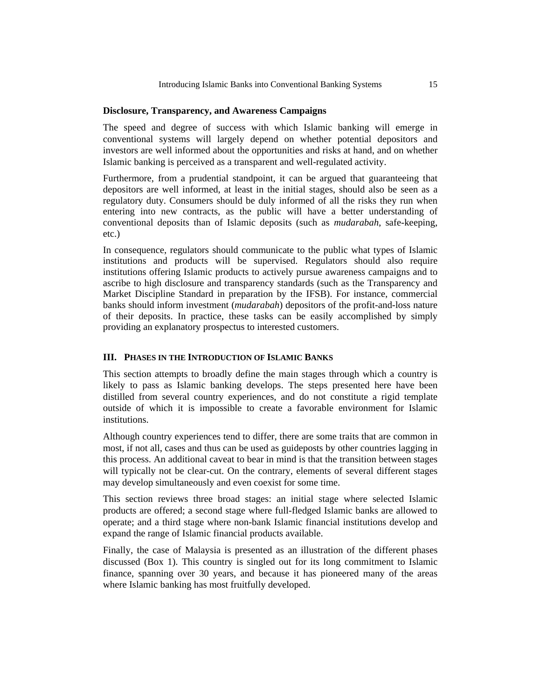#### **Disclosure, Transparency, and Awareness Campaigns**

The speed and degree of success with which Islamic banking will emerge in conventional systems will largely depend on whether potential depositors and investors are well informed about the opportunities and risks at hand, and on whether Islamic banking is perceived as a transparent and well-regulated activity.

Furthermore, from a prudential standpoint, it can be argued that guaranteeing that depositors are well informed, at least in the initial stages, should also be seen as a regulatory duty. Consumers should be duly informed of all the risks they run when entering into new contracts, as the public will have a better understanding of conventional deposits than of Islamic deposits (such as *mudarabah*, safe-keeping, etc.)

In consequence, regulators should communicate to the public what types of Islamic institutions and products will be supervised. Regulators should also require institutions offering Islamic products to actively pursue awareness campaigns and to ascribe to high disclosure and transparency standards (such as the Transparency and Market Discipline Standard in preparation by the IFSB). For instance, commercial banks should inform investment (*mudarabah*) depositors of the profit-and-loss nature of their deposits. In practice, these tasks can be easily accomplished by simply providing an explanatory prospectus to interested customers.

#### **III. PHASES IN THE INTRODUCTION OF ISLAMIC BANKS**

This section attempts to broadly define the main stages through which a country is likely to pass as Islamic banking develops. The steps presented here have been distilled from several country experiences, and do not constitute a rigid template outside of which it is impossible to create a favorable environment for Islamic institutions.

Although country experiences tend to differ, there are some traits that are common in most, if not all, cases and thus can be used as guideposts by other countries lagging in this process. An additional caveat to bear in mind is that the transition between stages will typically not be clear-cut. On the contrary, elements of several different stages may develop simultaneously and even coexist for some time.

This section reviews three broad stages: an initial stage where selected Islamic products are offered; a second stage where full-fledged Islamic banks are allowed to operate; and a third stage where non-bank Islamic financial institutions develop and expand the range of Islamic financial products available.

Finally, the case of Malaysia is presented as an illustration of the different phases discussed (Box 1). This country is singled out for its long commitment to Islamic finance, spanning over 30 years, and because it has pioneered many of the areas where Islamic banking has most fruitfully developed.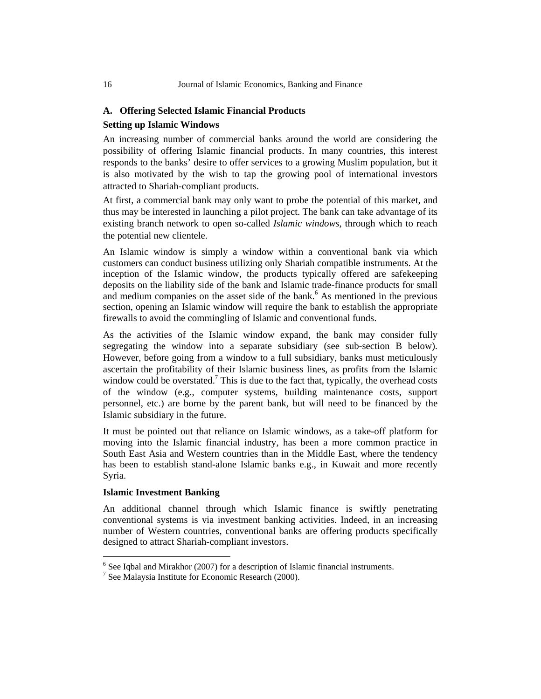#### **A. Offering Selected Islamic Financial Products**

#### **Setting up Islamic Windows**

An increasing number of commercial banks around the world are considering the possibility of offering Islamic financial products. In many countries, this interest responds to the banks' desire to offer services to a growing Muslim population, but it is also motivated by the wish to tap the growing pool of international investors attracted to Shariah-compliant products.

At first, a commercial bank may only want to probe the potential of this market, and thus may be interested in launching a pilot project. The bank can take advantage of its existing branch network to open so-called *Islamic windows*, through which to reach the potential new clientele.

An Islamic window is simply a window within a conventional bank via which customers can conduct business utilizing only Shariah compatible instruments. At the inception of the Islamic window, the products typically offered are safekeeping deposits on the liability side of the bank and Islamic trade-finance products for small and medium companies on the asset side of the bank.<sup>6</sup> As mentioned in the previous section, opening an Islamic window will require the bank to establish the appropriate firewalls to avoid the commingling of Islamic and conventional funds.

As the activities of the Islamic window expand, the bank may consider fully segregating the window into a separate subsidiary (see sub-section B below). However, before going from a window to a full subsidiary, banks must meticulously ascertain the profitability of their Islamic business lines, as profits from the Islamic window could be overstated.<sup>7</sup> This is due to the fact that, typically, the overhead costs of the window (e.g., computer systems, building maintenance costs, support personnel, etc.) are borne by the parent bank, but will need to be financed by the Islamic subsidiary in the future.

It must be pointed out that reliance on Islamic windows, as a take-off platform for moving into the Islamic financial industry, has been a more common practice in South East Asia and Western countries than in the Middle East, where the tendency has been to establish stand-alone Islamic banks e.g., in Kuwait and more recently Syria.

## **Islamic Investment Banking**

 $\overline{a}$ 

An additional channel through which Islamic finance is swiftly penetrating conventional systems is via investment banking activities. Indeed, in an increasing number of Western countries, conventional banks are offering products specifically designed to attract Shariah-compliant investors.

 $6$  See Iqbal and Mirakhor (2007) for a description of Islamic financial instruments.

<sup>7</sup> See Malaysia Institute for Economic Research (2000).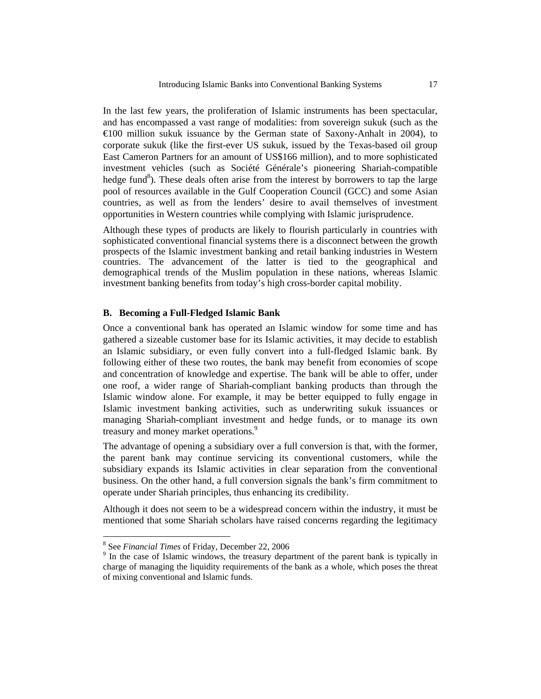In the last few years, the proliferation of Islamic instruments has been spectacular, and has encompassed a vast range of modalities: from sovereign sukuk (such as the €100 million sukuk issuance by the German state of Saxony-Anhalt in 2004), to corporate sukuk (like the first-ever US sukuk, issued by the Texas-based oil group East Cameron Partners for an amount of US\$166 million), and to more sophisticated investment vehicles (such as Société Générale's pioneering Shariah-compatible hedge fund<sup>8</sup>). These deals often arise from the interest by borrowers to tap the large pool of resources available in the Gulf Cooperation Council (GCC) and some Asian countries, as well as from the lenders' desire to avail themselves of investment opportunities in Western countries while complying with Islamic jurisprudence.

Although these types of products are likely to flourish particularly in countries with sophisticated conventional financial systems there is a disconnect between the growth prospects of the Islamic investment banking and retail banking industries in Western countries. The advancement of the latter is tied to the geographical and demographical trends of the Muslim population in these nations, whereas Islamic investment banking benefits from today's high cross-border capital mobility.

#### **B. Becoming a Full-Fledged Islamic Bank**

Once a conventional bank has operated an Islamic window for some time and has gathered a sizeable customer base for its Islamic activities, it may decide to establish an Islamic subsidiary, or even fully convert into a full-fledged Islamic bank. By following either of these two routes, the bank may benefit from economies of scope and concentration of knowledge and expertise. The bank will be able to offer, under one roof, a wider range of Shariah-compliant banking products than through the Islamic window alone. For example, it may be better equipped to fully engage in Islamic investment banking activities, such as underwriting sukuk issuances or managing Shariah-compliant investment and hedge funds, or to manage its own treasury and money market operations.<sup>9</sup>

The advantage of opening a subsidiary over a full conversion is that, with the former, the parent bank may continue servicing its conventional customers, while the subsidiary expands its Islamic activities in clear separation from the conventional business. On the other hand, a full conversion signals the bank's firm commitment to operate under Shariah principles, thus enhancing its credibility.

Although it does not seem to be a widespread concern within the industry, it must be mentioned that some Shariah scholars have raised concerns regarding the legitimacy

 $\frac{8}{9}$  See *Financial Times* of Friday, December 22, 2006

<sup>&</sup>lt;sup>9</sup> In the case of Islamic windows, the treasury department of the parent bank is typically in charge of managing the liquidity requirements of the bank as a whole, which poses the threat of mixing conventional and Islamic funds.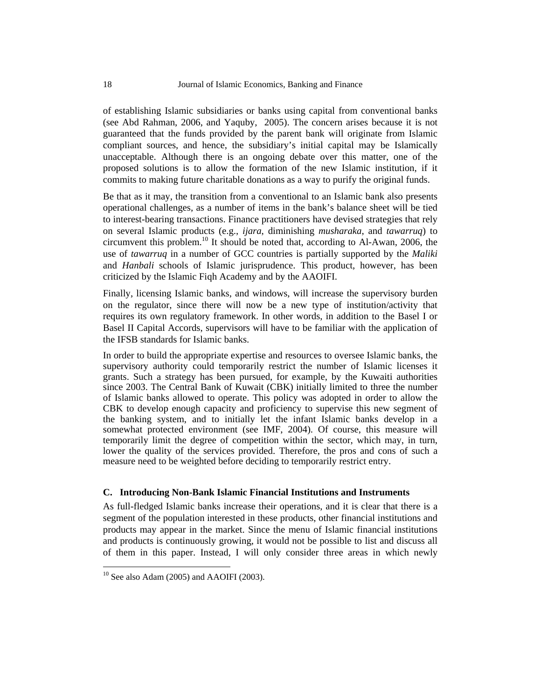of establishing Islamic subsidiaries or banks using capital from conventional banks (see Abd Rahman, 2006, and Yaquby, 2005). The concern arises because it is not guaranteed that the funds provided by the parent bank will originate from Islamic compliant sources, and hence, the subsidiary's initial capital may be Islamically unacceptable. Although there is an ongoing debate over this matter, one of the proposed solutions is to allow the formation of the new Islamic institution, if it commits to making future charitable donations as a way to purify the original funds.

Be that as it may, the transition from a conventional to an Islamic bank also presents operational challenges, as a number of items in the bank's balance sheet will be tied to interest-bearing transactions. Finance practitioners have devised strategies that rely on several Islamic products (e.g., *ijara*, diminishing *musharaka*, and *tawarruq*) to circumvent this problem.10 It should be noted that, according to Al-Awan, 2006, the use of *tawarruq* in a number of GCC countries is partially supported by the *Maliki* and *Hanbali* schools of Islamic jurisprudence. This product, however, has been criticized by the Islamic Fiqh Academy and by the AAOIFI.

Finally, licensing Islamic banks, and windows, will increase the supervisory burden on the regulator, since there will now be a new type of institution/activity that requires its own regulatory framework. In other words, in addition to the Basel I or Basel II Capital Accords, supervisors will have to be familiar with the application of the IFSB standards for Islamic banks.

In order to build the appropriate expertise and resources to oversee Islamic banks, the supervisory authority could temporarily restrict the number of Islamic licenses it grants. Such a strategy has been pursued, for example, by the Kuwaiti authorities since 2003. The Central Bank of Kuwait (CBK) initially limited to three the number of Islamic banks allowed to operate. This policy was adopted in order to allow the CBK to develop enough capacity and proficiency to supervise this new segment of the banking system, and to initially let the infant Islamic banks develop in a somewhat protected environment (see IMF, 2004). Of course, this measure will temporarily limit the degree of competition within the sector, which may, in turn, lower the quality of the services provided. Therefore, the pros and cons of such a measure need to be weighted before deciding to temporarily restrict entry.

## **C. Introducing Non-Bank Islamic Financial Institutions and Instruments**

As full-fledged Islamic banks increase their operations, and it is clear that there is a segment of the population interested in these products, other financial institutions and products may appear in the market. Since the menu of Islamic financial institutions and products is continuously growing, it would not be possible to list and discuss all of them in this paper. Instead, I will only consider three areas in which newly

 $10$  See also Adam (2005) and AAOIFI (2003).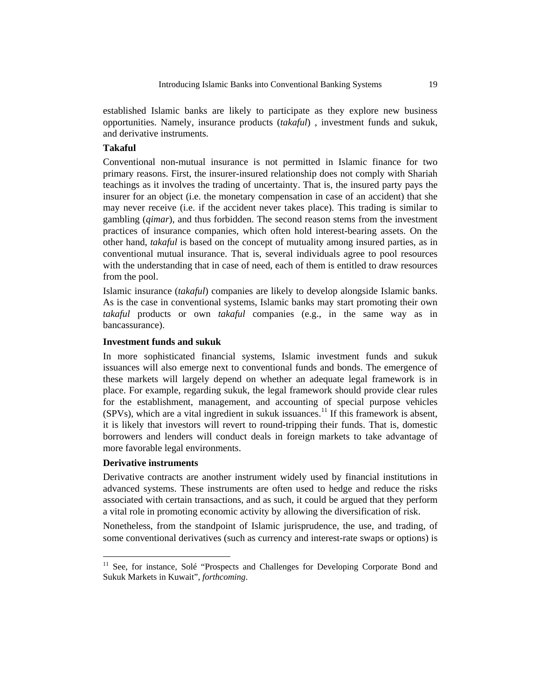established Islamic banks are likely to participate as they explore new business opportunities. Namely, insurance products (*takaful*) , investment funds and sukuk, and derivative instruments.

## **Takaful**

Conventional non-mutual insurance is not permitted in Islamic finance for two primary reasons. First, the insurer-insured relationship does not comply with Shariah teachings as it involves the trading of uncertainty. That is, the insured party pays the insurer for an object (i.e. the monetary compensation in case of an accident) that she may never receive (i.e. if the accident never takes place). This trading is similar to gambling (*qimar*), and thus forbidden. The second reason stems from the investment practices of insurance companies, which often hold interest-bearing assets. On the other hand, *takaful* is based on the concept of mutuality among insured parties, as in conventional mutual insurance. That is, several individuals agree to pool resources with the understanding that in case of need, each of them is entitled to draw resources from the pool.

Islamic insurance (*takaful*) companies are likely to develop alongside Islamic banks. As is the case in conventional systems, Islamic banks may start promoting their own *takaful* products or own *takaful* companies (e.g., in the same way as in bancassurance).

### **Investment funds and sukuk**

In more sophisticated financial systems, Islamic investment funds and sukuk issuances will also emerge next to conventional funds and bonds. The emergence of these markets will largely depend on whether an adequate legal framework is in place. For example, regarding sukuk, the legal framework should provide clear rules for the establishment, management, and accounting of special purpose vehicles  $(SPVs)$ , which are a vital ingredient in sukuk issuances.<sup>11</sup> If this framework is absent, it is likely that investors will revert to round-tripping their funds. That is, domestic borrowers and lenders will conduct deals in foreign markets to take advantage of more favorable legal environments.

#### **Derivative instruments**

 $\overline{a}$ 

Derivative contracts are another instrument widely used by financial institutions in advanced systems. These instruments are often used to hedge and reduce the risks associated with certain transactions, and as such, it could be argued that they perform a vital role in promoting economic activity by allowing the diversification of risk.

Nonetheless, from the standpoint of Islamic jurisprudence, the use, and trading, of some conventional derivatives (such as currency and interest-rate swaps or options) is

<sup>&</sup>lt;sup>11</sup> See, for instance, Solé "Prospects and Challenges for Developing Corporate Bond and Sukuk Markets in Kuwait", *forthcoming*.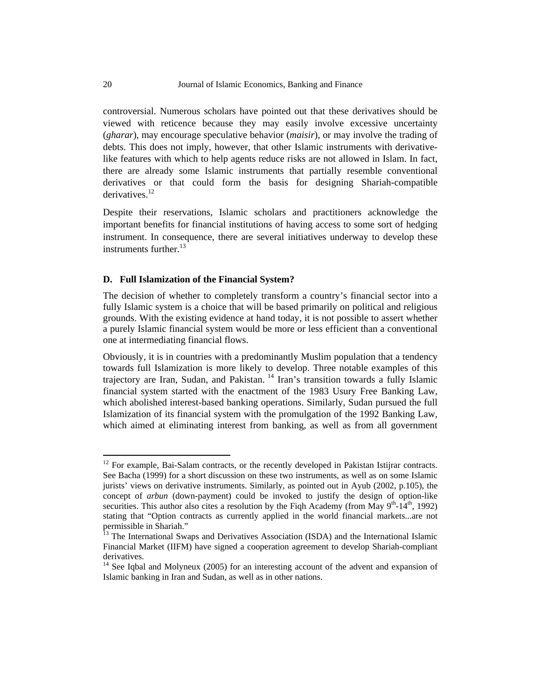controversial. Numerous scholars have pointed out that these derivatives should be viewed with reticence because they may easily involve excessive uncertainty (*gharar*), may encourage speculative behavior (*maisir*), or may involve the trading of debts. This does not imply, however, that other Islamic instruments with derivativelike features with which to help agents reduce risks are not allowed in Islam. In fact, there are already some Islamic instruments that partially resemble conventional derivatives or that could form the basis for designing Shariah-compatible derivatives.<sup>12</sup>

Despite their reservations, Islamic scholars and practitioners acknowledge the important benefits for financial institutions of having access to some sort of hedging instrument. In consequence, there are several initiatives underway to develop these instruments further. $^{13}$ 

#### **D. Full Islamization of the Financial System?**

The decision of whether to completely transform a country's financial sector into a fully Islamic system is a choice that will be based primarily on political and religious grounds. With the existing evidence at hand today, it is not possible to assert whether a purely Islamic financial system would be more or less efficient than a conventional one at intermediating financial flows.

Obviously, it is in countries with a predominantly Muslim population that a tendency towards full Islamization is more likely to develop. Three notable examples of this trajectory are Iran, Sudan, and Pakistan. 14 Iran's transition towards a fully Islamic financial system started with the enactment of the 1983 Usury Free Banking Law, which abolished interest-based banking operations. Similarly, Sudan pursued the full Islamization of its financial system with the promulgation of the 1992 Banking Law, which aimed at eliminating interest from banking, as well as from all government

<sup>&</sup>lt;sup>12</sup> For example, Bai-Salam contracts, or the recently developed in Pakistan Istijrar contracts. See Bacha (1999) for a short discussion on these two instruments, as well as on some Islamic jurists' views on derivative instruments. Similarly, as pointed out in Ayub (2002, p.105), the concept of *arbun* (down-payment) could be invoked to justify the design of option-like securities. This author also cites a resolution by the Figh Academy (from May  $9^{th}$ -14<sup>th</sup>, 1992) stating that "Option contracts as currently applied in the world financial markets...are not permissible in Shariah."

<sup>&</sup>lt;sup>13</sup> The International Swaps and Derivatives Association (ISDA) and the International Islamic Financial Market (IIFM) have signed a cooperation agreement to develop Shariah-compliant derivatives.

<sup>&</sup>lt;sup>14</sup> See Iqbal and Molyneux (2005) for an interesting account of the advent and expansion of Islamic banking in Iran and Sudan, as well as in other nations.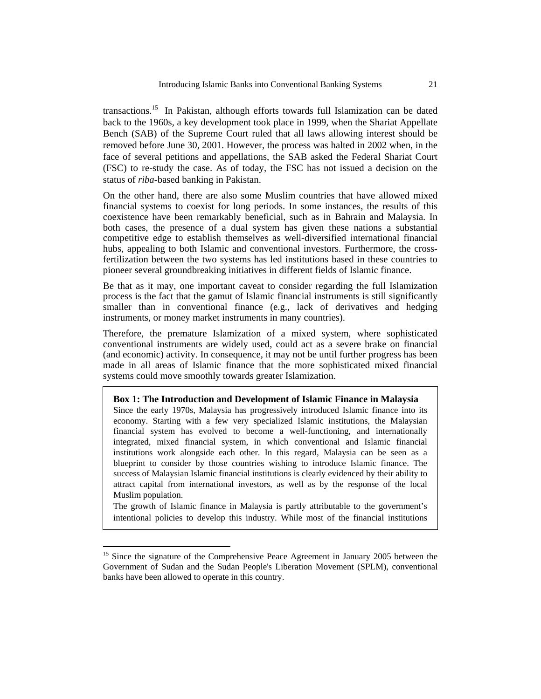transactions.15 In Pakistan, although efforts towards full Islamization can be dated back to the 1960s, a key development took place in 1999, when the Shariat Appellate Bench (SAB) of the Supreme Court ruled that all laws allowing interest should be removed before June 30, 2001. However, the process was halted in 2002 when, in the face of several petitions and appellations, the SAB asked the Federal Shariat Court (FSC) to re-study the case. As of today, the FSC has not issued a decision on the status of *riba*-based banking in Pakistan.

On the other hand, there are also some Muslim countries that have allowed mixed financial systems to coexist for long periods. In some instances, the results of this coexistence have been remarkably beneficial, such as in Bahrain and Malaysia. In both cases, the presence of a dual system has given these nations a substantial competitive edge to establish themselves as well-diversified international financial hubs, appealing to both Islamic and conventional investors. Furthermore, the crossfertilization between the two systems has led institutions based in these countries to pioneer several groundbreaking initiatives in different fields of Islamic finance.

Be that as it may, one important caveat to consider regarding the full Islamization process is the fact that the gamut of Islamic financial instruments is still significantly smaller than in conventional finance (e.g., lack of derivatives and hedging instruments, or money market instruments in many countries).

Therefore, the premature Islamization of a mixed system, where sophisticated conventional instruments are widely used, could act as a severe brake on financial (and economic) activity. In consequence, it may not be until further progress has been made in all areas of Islamic finance that the more sophisticated mixed financial systems could move smoothly towards greater Islamization.

#### **Box 1: The Introduction and Development of Islamic Finance in Malaysia**

Since the early 1970s, Malaysia has progressively introduced Islamic finance into its economy. Starting with a few very specialized Islamic institutions, the Malaysian financial system has evolved to become a well-functioning, and internationally integrated, mixed financial system, in which conventional and Islamic financial institutions work alongside each other. In this regard, Malaysia can be seen as a blueprint to consider by those countries wishing to introduce Islamic finance. The success of Malaysian Islamic financial institutions is clearly evidenced by their ability to attract capital from international investors, as well as by the response of the local Muslim population.

The growth of Islamic finance in Malaysia is partly attributable to the government's intentional policies to develop this industry. While most of the financial institutions

<sup>&</sup>lt;sup>15</sup> Since the signature of the Comprehensive Peace Agreement in January 2005 between the Government of Sudan and the Sudan People's Liberation Movement (SPLM), conventional banks have been allowed to operate in this country.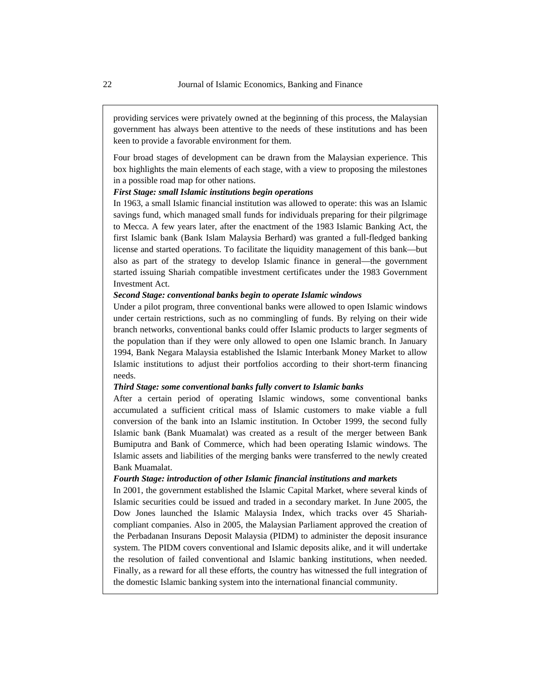providing services were privately owned at the beginning of this process, the Malaysian government has always been attentive to the needs of these institutions and has been keen to provide a favorable environment for them.

Four broad stages of development can be drawn from the Malaysian experience. This box highlights the main elements of each stage, with a view to proposing the milestones in a possible road map for other nations.

#### *First Stage: small Islamic institutions begin operations*

In 1963, a small Islamic financial institution was allowed to operate: this was an Islamic savings fund, which managed small funds for individuals preparing for their pilgrimage to Mecca. A few years later, after the enactment of the 1983 Islamic Banking Act, the first Islamic bank (Bank Islam Malaysia Berhard) was granted a full-fledged banking license and started operations. To facilitate the liquidity management of this bank—but also as part of the strategy to develop Islamic finance in general—the government started issuing Shariah compatible investment certificates under the 1983 Government Investment Act.

#### *Second Stage: conventional banks begin to operate Islamic windows*

Under a pilot program, three conventional banks were allowed to open Islamic windows under certain restrictions, such as no commingling of funds. By relying on their wide branch networks, conventional banks could offer Islamic products to larger segments of the population than if they were only allowed to open one Islamic branch. In January 1994, Bank Negara Malaysia established the Islamic Interbank Money Market to allow Islamic institutions to adjust their portfolios according to their short-term financing needs.

#### *Third Stage: some conventional banks fully convert to Islamic banks*

After a certain period of operating Islamic windows, some conventional banks accumulated a sufficient critical mass of Islamic customers to make viable a full conversion of the bank into an Islamic institution. In October 1999, the second fully Islamic bank (Bank Muamalat) was created as a result of the merger between Bank Bumiputra and Bank of Commerce, which had been operating Islamic windows. The Islamic assets and liabilities of the merging banks were transferred to the newly created Bank Muamalat.

#### *Fourth Stage: introduction of other Islamic financial institutions and markets*

In 2001, the government established the Islamic Capital Market, where several kinds of Islamic securities could be issued and traded in a secondary market. In June 2005, the Dow Jones launched the Islamic Malaysia Index, which tracks over 45 Shariahcompliant companies. Also in 2005, the Malaysian Parliament approved the creation of the Perbadanan Insurans Deposit Malaysia (PIDM) to administer the deposit insurance system. The PIDM covers conventional and Islamic deposits alike, and it will undertake the resolution of failed conventional and Islamic banking institutions, when needed. Finally, as a reward for all these efforts, the country has witnessed the full integration of the domestic Islamic banking system into the international financial community.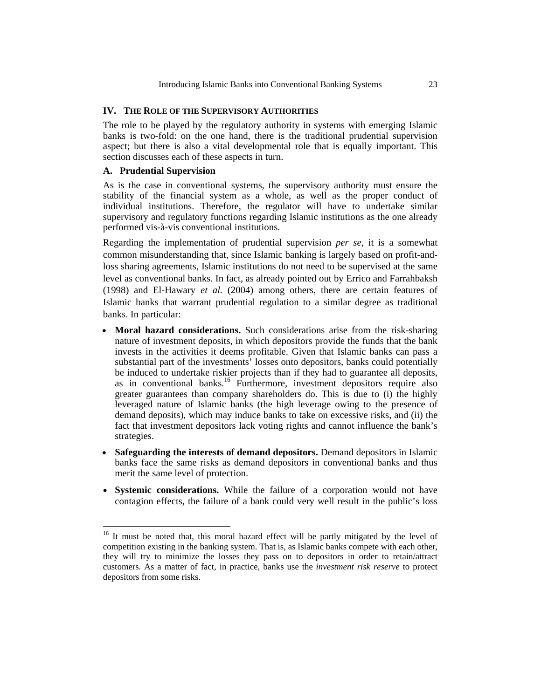#### **IV. THE ROLE OF THE SUPERVISORY AUTHORITIES**

The role to be played by the regulatory authority in systems with emerging Islamic banks is two-fold: on the one hand, there is the traditional prudential supervision aspect; but there is also a vital developmental role that is equally important. This section discusses each of these aspects in turn.

#### **A. Prudential Supervision**

 $\overline{a}$ 

As is the case in conventional systems, the supervisory authority must ensure the stability of the financial system as a whole, as well as the proper conduct of individual institutions. Therefore, the regulator will have to undertake similar supervisory and regulatory functions regarding Islamic institutions as the one already performed vis-à-vis conventional institutions.

Regarding the implementation of prudential supervision *per se*, it is a somewhat common misunderstanding that, since Islamic banking is largely based on profit-andloss sharing agreements, Islamic institutions do not need to be supervised at the same level as conventional banks. In fact, as already pointed out by Errico and Farrahbaksh (1998) and El-Hawary *et al.* (2004) among others, there are certain features of Islamic banks that warrant prudential regulation to a similar degree as traditional banks. In particular:

- **Moral hazard considerations.** Such considerations arise from the risk-sharing nature of investment deposits, in which depositors provide the funds that the bank invests in the activities it deems profitable. Given that Islamic banks can pass a substantial part of the investments' losses onto depositors, banks could potentially be induced to undertake riskier projects than if they had to guarantee all deposits, as in conventional banks.<sup>16</sup> Furthermore, investment depositors require also greater guarantees than company shareholders do. This is due to (i) the highly leveraged nature of Islamic banks (the high leverage owing to the presence of demand deposits), which may induce banks to take on excessive risks, and (ii) the fact that investment depositors lack voting rights and cannot influence the bank's strategies.
- **Safeguarding the interests of demand depositors.** Demand depositors in Islamic banks face the same risks as demand depositors in conventional banks and thus merit the same level of protection.
- **Systemic considerations.** While the failure of a corporation would not have contagion effects, the failure of a bank could very well result in the public's loss

<sup>&</sup>lt;sup>16</sup> It must be noted that, this moral hazard effect will be partly mitigated by the level of competition existing in the banking system. That is, as Islamic banks compete with each other, they will try to minimize the losses they pass on to depositors in order to retain/attract customers. As a matter of fact, in practice, banks use the *investment risk reserve* to protect depositors from some risks.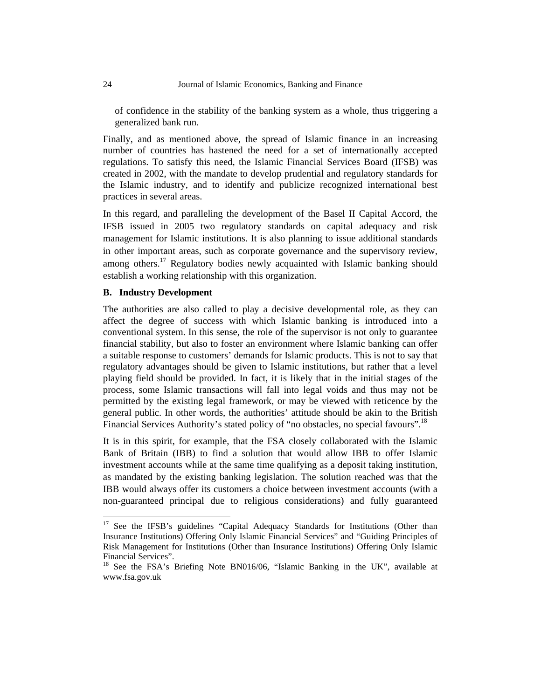of confidence in the stability of the banking system as a whole, thus triggering a generalized bank run.

Finally, and as mentioned above, the spread of Islamic finance in an increasing number of countries has hastened the need for a set of internationally accepted regulations. To satisfy this need, the Islamic Financial Services Board (IFSB) was created in 2002, with the mandate to develop prudential and regulatory standards for the Islamic industry, and to identify and publicize recognized international best practices in several areas.

In this regard, and paralleling the development of the Basel II Capital Accord, the IFSB issued in 2005 two regulatory standards on capital adequacy and risk management for Islamic institutions. It is also planning to issue additional standards in other important areas, such as corporate governance and the supervisory review, among others.<sup>17</sup> Regulatory bodies newly acquainted with Islamic banking should establish a working relationship with this organization.

#### **B. Industry Development**

The authorities are also called to play a decisive developmental role, as they can affect the degree of success with which Islamic banking is introduced into a conventional system. In this sense, the role of the supervisor is not only to guarantee financial stability, but also to foster an environment where Islamic banking can offer a suitable response to customers' demands for Islamic products. This is not to say that regulatory advantages should be given to Islamic institutions, but rather that a level playing field should be provided. In fact, it is likely that in the initial stages of the process, some Islamic transactions will fall into legal voids and thus may not be permitted by the existing legal framework, or may be viewed with reticence by the general public. In other words, the authorities' attitude should be akin to the British Financial Services Authority's stated policy of "no obstacles, no special favours".<sup>18</sup>

It is in this spirit, for example, that the FSA closely collaborated with the Islamic Bank of Britain (IBB) to find a solution that would allow IBB to offer Islamic investment accounts while at the same time qualifying as a deposit taking institution, as mandated by the existing banking legislation. The solution reached was that the IBB would always offer its customers a choice between investment accounts (with a non-guaranteed principal due to religious considerations) and fully guaranteed

<sup>&</sup>lt;sup>17</sup> See the IFSB's guidelines "Capital Adequacy Standards for Institutions (Other than Insurance Institutions) Offering Only Islamic Financial Services" and "Guiding Principles of Risk Management for Institutions (Other than Insurance Institutions) Offering Only Islamic Financial Services".

<sup>&</sup>lt;sup>18</sup> See the FSA's Briefing Note BN016/06, "Islamic Banking in the UK", available at www.fsa.gov.uk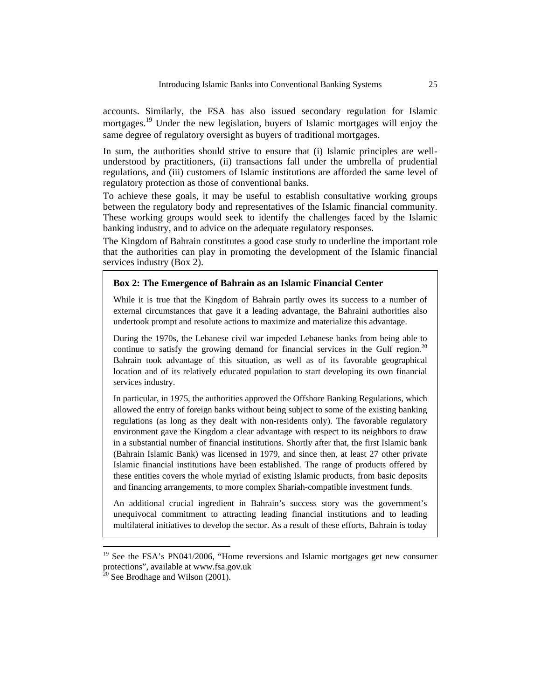accounts. Similarly, the FSA has also issued secondary regulation for Islamic mortgages.<sup>19</sup> Under the new legislation, buyers of Islamic mortgages will enjoy the same degree of regulatory oversight as buyers of traditional mortgages.

In sum, the authorities should strive to ensure that (i) Islamic principles are wellunderstood by practitioners, (ii) transactions fall under the umbrella of prudential regulations, and (iii) customers of Islamic institutions are afforded the same level of regulatory protection as those of conventional banks.

To achieve these goals, it may be useful to establish consultative working groups between the regulatory body and representatives of the Islamic financial community. These working groups would seek to identify the challenges faced by the Islamic banking industry, and to advice on the adequate regulatory responses.

The Kingdom of Bahrain constitutes a good case study to underline the important role that the authorities can play in promoting the development of the Islamic financial services industry (Box 2).

## **Box 2: The Emergence of Bahrain as an Islamic Financial Center**

While it is true that the Kingdom of Bahrain partly owes its success to a number of external circumstances that gave it a leading advantage, the Bahraini authorities also undertook prompt and resolute actions to maximize and materialize this advantage.

During the 1970s, the Lebanese civil war impeded Lebanese banks from being able to continue to satisfy the growing demand for financial services in the Gulf region.<sup>20</sup> Bahrain took advantage of this situation, as well as of its favorable geographical location and of its relatively educated population to start developing its own financial services industry.

In particular, in 1975, the authorities approved the Offshore Banking Regulations, which allowed the entry of foreign banks without being subject to some of the existing banking regulations (as long as they dealt with non-residents only). The favorable regulatory environment gave the Kingdom a clear advantage with respect to its neighbors to draw in a substantial number of financial institutions. Shortly after that, the first Islamic bank (Bahrain Islamic Bank) was licensed in 1979, and since then, at least 27 other private Islamic financial institutions have been established. The range of products offered by these entities covers the whole myriad of existing Islamic products, from basic deposits and financing arrangements, to more complex Shariah-compatible investment funds.

An additional crucial ingredient in Bahrain's success story was the government's unequivocal commitment to attracting leading financial institutions and to leading multilateral initiatives to develop the sector. As a result of these efforts, Bahrain is today

 $19$  See the FSA's PN041/2006, "Home reversions and Islamic mortgages get new consumer protections", available at www.fsa.gov.uk

 $20$  See Brodhage and Wilson (2001).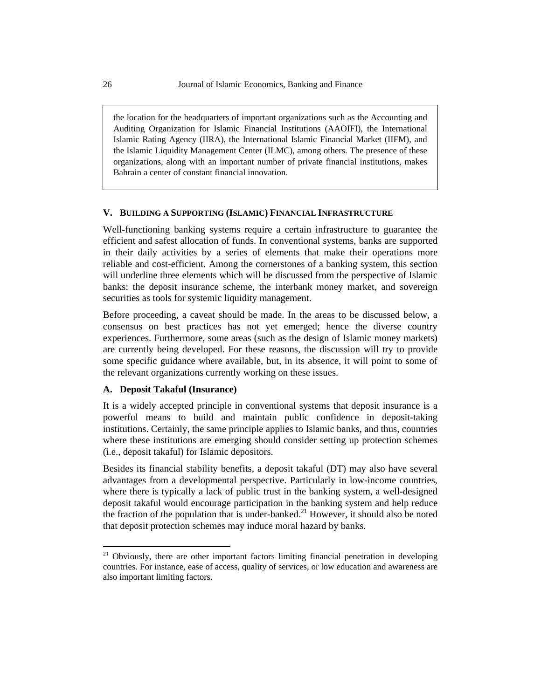the location for the headquarters of important organizations such as the Accounting and Auditing Organization for Islamic Financial Institutions (AAOIFI), the International Islamic Rating Agency (IIRA), the International Islamic Financial Market (IIFM), and the Islamic Liquidity Management Center (ILMC), among others. The presence of these organizations, along with an important number of private financial institutions, makes Bahrain a center of constant financial innovation.

#### **V. BUILDING A SUPPORTING (ISLAMIC) FINANCIAL INFRASTRUCTURE**

Well-functioning banking systems require a certain infrastructure to guarantee the efficient and safest allocation of funds. In conventional systems, banks are supported in their daily activities by a series of elements that make their operations more reliable and cost-efficient. Among the cornerstones of a banking system, this section will underline three elements which will be discussed from the perspective of Islamic banks: the deposit insurance scheme, the interbank money market, and sovereign securities as tools for systemic liquidity management.

Before proceeding, a caveat should be made. In the areas to be discussed below, a consensus on best practices has not yet emerged; hence the diverse country experiences. Furthermore, some areas (such as the design of Islamic money markets) are currently being developed. For these reasons, the discussion will try to provide some specific guidance where available, but, in its absence, it will point to some of the relevant organizations currently working on these issues.

## **A. Deposit Takaful (Insurance)**

It is a widely accepted principle in conventional systems that deposit insurance is a powerful means to build and maintain public confidence in deposit-taking institutions. Certainly, the same principle applies to Islamic banks, and thus, countries where these institutions are emerging should consider setting up protection schemes (i.e., deposit takaful) for Islamic depositors.

Besides its financial stability benefits, a deposit takaful (DT) may also have several advantages from a developmental perspective. Particularly in low-income countries, where there is typically a lack of public trust in the banking system, a well-designed deposit takaful would encourage participation in the banking system and help reduce the fraction of the population that is under-banked.<sup>21</sup> However, it should also be noted that deposit protection schemes may induce moral hazard by banks.

 $21$  Obviously, there are other important factors limiting financial penetration in developing countries. For instance, ease of access, quality of services, or low education and awareness are also important limiting factors.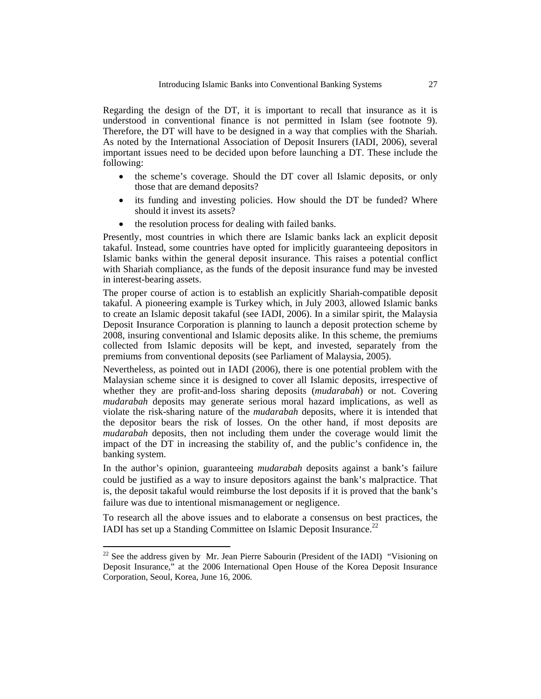Regarding the design of the DT, it is important to recall that insurance as it is understood in conventional finance is not permitted in Islam (see footnote 9). Therefore, the DT will have to be designed in a way that complies with the Shariah. As noted by the International Association of Deposit Insurers (IADI, 2006), several important issues need to be decided upon before launching a DT. These include the following:

- the scheme's coverage. Should the DT cover all Islamic deposits, or only those that are demand deposits?
- its funding and investing policies. How should the DT be funded? Where should it invest its assets?
- the resolution process for dealing with failed banks.

Presently, most countries in which there are Islamic banks lack an explicit deposit takaful. Instead, some countries have opted for implicitly guaranteeing depositors in Islamic banks within the general deposit insurance. This raises a potential conflict with Shariah compliance, as the funds of the deposit insurance fund may be invested in interest-bearing assets.

The proper course of action is to establish an explicitly Shariah-compatible deposit takaful. A pioneering example is Turkey which, in July 2003, allowed Islamic banks to create an Islamic deposit takaful (see IADI, 2006). In a similar spirit, the Malaysia Deposit Insurance Corporation is planning to launch a deposit protection scheme by 2008, insuring conventional and Islamic deposits alike. In this scheme, the premiums collected from Islamic deposits will be kept, and invested, separately from the premiums from conventional deposits (see Parliament of Malaysia, 2005).

Nevertheless, as pointed out in IADI (2006), there is one potential problem with the Malaysian scheme since it is designed to cover all Islamic deposits, irrespective of whether they are profit-and-loss sharing deposits (*mudarabah*) or not. Covering *mudarabah* deposits may generate serious moral hazard implications, as well as violate the risk-sharing nature of the *mudarabah* deposits, where it is intended that the depositor bears the risk of losses. On the other hand, if most deposits are *mudarabah* deposits, then not including them under the coverage would limit the impact of the DT in increasing the stability of, and the public's confidence in, the banking system.

In the author's opinion, guaranteeing *mudarabah* deposits against a bank's failure could be justified as a way to insure depositors against the bank's malpractice. That is, the deposit takaful would reimburse the lost deposits if it is proved that the bank's failure was due to intentional mismanagement or negligence.

To research all the above issues and to elaborate a consensus on best practices, the IADI has set up a Standing Committee on Islamic Deposit Insurance.<sup>22</sup>

 $22$  See the address given by Mr. Jean Pierre Sabourin (President of the IADI) "Visioning on Deposit Insurance," at the 2006 International Open House of the Korea Deposit Insurance Corporation, Seoul, Korea, June 16, 2006.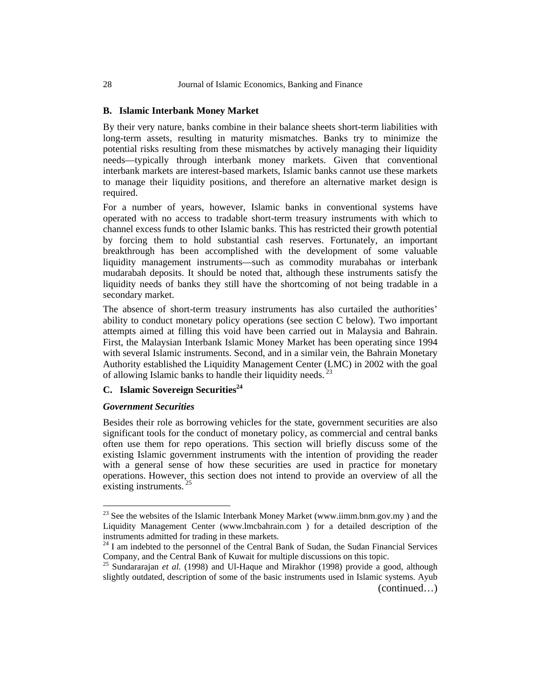#### **B. Islamic Interbank Money Market**

By their very nature, banks combine in their balance sheets short-term liabilities with long-term assets, resulting in maturity mismatches. Banks try to minimize the potential risks resulting from these mismatches by actively managing their liquidity needs—typically through interbank money markets. Given that conventional interbank markets are interest-based markets, Islamic banks cannot use these markets to manage their liquidity positions, and therefore an alternative market design is required.

For a number of years, however, Islamic banks in conventional systems have operated with no access to tradable short-term treasury instruments with which to channel excess funds to other Islamic banks. This has restricted their growth potential by forcing them to hold substantial cash reserves. Fortunately, an important breakthrough has been accomplished with the development of some valuable liquidity management instruments—such as commodity murabahas or interbank mudarabah deposits. It should be noted that, although these instruments satisfy the liquidity needs of banks they still have the shortcoming of not being tradable in a secondary market.

The absence of short-term treasury instruments has also curtailed the authorities' ability to conduct monetary policy operations (see section C below). Two important attempts aimed at filling this void have been carried out in Malaysia and Bahrain. First, the Malaysian Interbank Islamic Money Market has been operating since 1994 with several Islamic instruments. Second, and in a similar vein, the Bahrain Monetary Authority established the Liquidity Management Center (LMC) in 2002 with the goal of allowing Islamic banks to handle their liquidity needs.  $^{23}$ 

# **C.** Islamic Sovereign Securities<sup>24</sup>

#### *Government Securities*

 $\overline{a}$ 

Besides their role as borrowing vehicles for the state, government securities are also significant tools for the conduct of monetary policy, as commercial and central banks often use them for repo operations. This section will briefly discuss some of the existing Islamic government instruments with the intention of providing the reader with a general sense of how these securities are used in practice for monetary operations. However, this section does not intend to provide an overview of all the existing instruments.<sup>25</sup>

 $23$  See the websites of the Islamic Interbank Money Market (www.iimm.bnm.gov.my) and the Liquidity Management Center (www.lmcbahrain.com ) for a detailed description of the

 $24$  I am indebted to the personnel of the Central Bank of Sudan, the Sudan Financial Services Company, and the Central Bank of Kuwait for multiple discussions on this topic.

<sup>&</sup>lt;sup>25</sup> Sundararajan *et al.* (1998) and Ul-Haque and Mirakhor (1998) provide a good, although slightly outdated, description of some of the basic instruments used in Islamic systems. Ayub (continued…)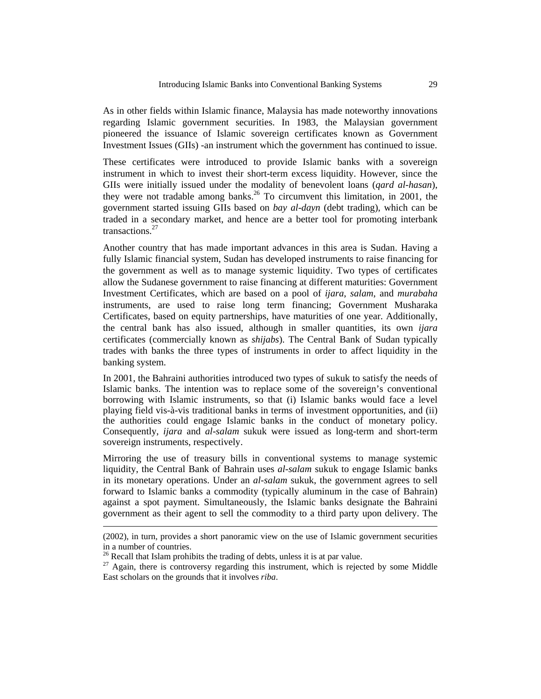As in other fields within Islamic finance, Malaysia has made noteworthy innovations regarding Islamic government securities. In 1983, the Malaysian government pioneered the issuance of Islamic sovereign certificates known as Government Investment Issues (GIIs) -an instrument which the government has continued to issue.

These certificates were introduced to provide Islamic banks with a sovereign instrument in which to invest their short-term excess liquidity. However, since the GIIs were initially issued under the modality of benevolent loans (*qard al-hasan*), they were not tradable among banks.<sup>26</sup> To circumvent this limitation, in 2001, the government started issuing GIIs based on *bay al-dayn* (debt trading), which can be traded in a secondary market, and hence are a better tool for promoting interbank transactions.<sup>27</sup>

Another country that has made important advances in this area is Sudan. Having a fully Islamic financial system, Sudan has developed instruments to raise financing for the government as well as to manage systemic liquidity. Two types of certificates allow the Sudanese government to raise financing at different maturities: Government Investment Certificates, which are based on a pool of *ijara*, *salam*, and *murabaha* instruments, are used to raise long term financing; Government Musharaka Certificates, based on equity partnerships, have maturities of one year. Additionally, the central bank has also issued, although in smaller quantities, its own *ijara* certificates (commercially known as *shijabs*). The Central Bank of Sudan typically trades with banks the three types of instruments in order to affect liquidity in the banking system.

In 2001, the Bahraini authorities introduced two types of sukuk to satisfy the needs of Islamic banks. The intention was to replace some of the sovereign's conventional borrowing with Islamic instruments, so that (i) Islamic banks would face a level playing field vis-à-vis traditional banks in terms of investment opportunities, and (ii) the authorities could engage Islamic banks in the conduct of monetary policy. Consequently, *ijara* and *al-salam* sukuk were issued as long-term and short-term sovereign instruments, respectively.

Mirroring the use of treasury bills in conventional systems to manage systemic liquidity, the Central Bank of Bahrain uses *al-salam* sukuk to engage Islamic banks in its monetary operations. Under an *al-salam* sukuk, the government agrees to sell forward to Islamic banks a commodity (typically aluminum in the case of Bahrain) against a spot payment. Simultaneously, the Islamic banks designate the Bahraini government as their agent to sell the commodity to a third party upon delivery. The

<sup>(2002),</sup> in turn, provides a short panoramic view on the use of Islamic government securities in a number of countries.

 $26$  Recall that Islam prohibits the trading of debts, unless it is at par value.

 $27$  Again, there is controversy regarding this instrument, which is rejected by some Middle East scholars on the grounds that it involves *riba*.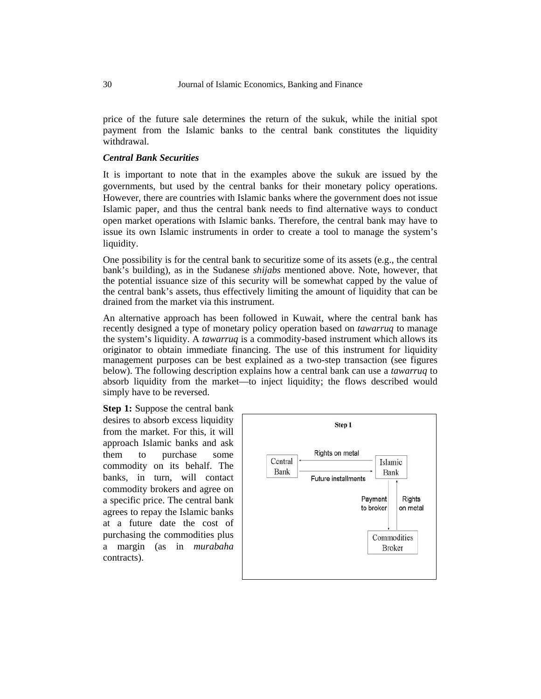price of the future sale determines the return of the sukuk, while the initial spot payment from the Islamic banks to the central bank constitutes the liquidity withdrawal.

## *Central Bank Securities*

It is important to note that in the examples above the sukuk are issued by the governments, but used by the central banks for their monetary policy operations. However, there are countries with Islamic banks where the government does not issue Islamic paper, and thus the central bank needs to find alternative ways to conduct open market operations with Islamic banks. Therefore, the central bank may have to issue its own Islamic instruments in order to create a tool to manage the system's liquidity.

One possibility is for the central bank to securitize some of its assets (e.g., the central bank's building), as in the Sudanese *shijabs* mentioned above. Note, however, that the potential issuance size of this security will be somewhat capped by the value of the central bank's assets, thus effectively limiting the amount of liquidity that can be drained from the market via this instrument.

An alternative approach has been followed in Kuwait, where the central bank has recently designed a type of monetary policy operation based on *tawarruq* to manage the system's liquidity. A *tawarruq* is a commodity-based instrument which allows its originator to obtain immediate financing. The use of this instrument for liquidity management purposes can be best explained as a two-step transaction (see figures below). The following description explains how a central bank can use a *tawarruq* to absorb liquidity from the market—to inject liquidity; the flows described would simply have to be reversed.

**Step 1:** Suppose the central bank desires to absorb excess liquidity from the market. For this, it will approach Islamic banks and ask them to purchase some commodity on its behalf. The banks, in turn, will contact commodity brokers and agree on a specific price. The central bank agrees to repay the Islamic banks at a future date the cost of purchasing the commodities plus a margin (as in *murabaha* contracts).

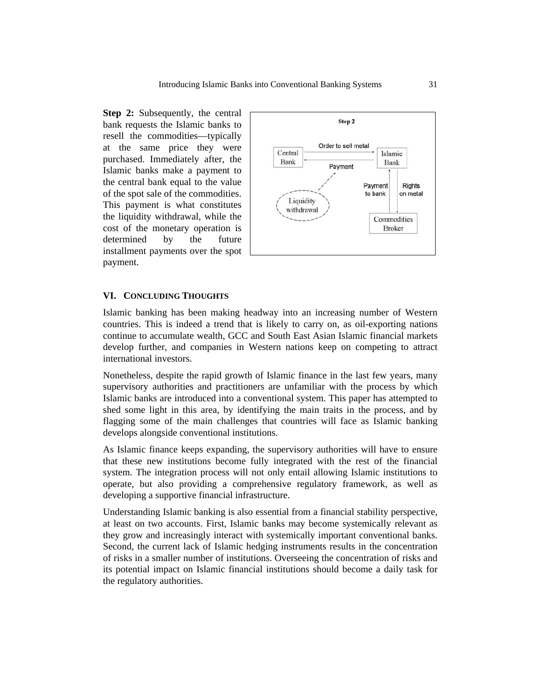**Step 2:** Subsequently, the central bank requests the Islamic banks to resell the commodities—typically at the same price they were purchased. Immediately after, the Islamic banks make a payment to the central bank equal to the value of the spot sale of the commodities. This payment is what constitutes the liquidity withdrawal, while the cost of the monetary operation is determined by the future installment payments over the spot payment.



#### **VI. CONCLUDING THOUGHTS**

Islamic banking has been making headway into an increasing number of Western countries. This is indeed a trend that is likely to carry on, as oil-exporting nations continue to accumulate wealth, GCC and South East Asian Islamic financial markets develop further, and companies in Western nations keep on competing to attract international investors.

Nonetheless, despite the rapid growth of Islamic finance in the last few years, many supervisory authorities and practitioners are unfamiliar with the process by which Islamic banks are introduced into a conventional system. This paper has attempted to shed some light in this area, by identifying the main traits in the process, and by flagging some of the main challenges that countries will face as Islamic banking develops alongside conventional institutions.

As Islamic finance keeps expanding, the supervisory authorities will have to ensure that these new institutions become fully integrated with the rest of the financial system. The integration process will not only entail allowing Islamic institutions to operate, but also providing a comprehensive regulatory framework, as well as developing a supportive financial infrastructure.

Understanding Islamic banking is also essential from a financial stability perspective, at least on two accounts. First, Islamic banks may become systemically relevant as they grow and increasingly interact with systemically important conventional banks. Second, the current lack of Islamic hedging instruments results in the concentration of risks in a smaller number of institutions. Overseeing the concentration of risks and its potential impact on Islamic financial institutions should become a daily task for the regulatory authorities.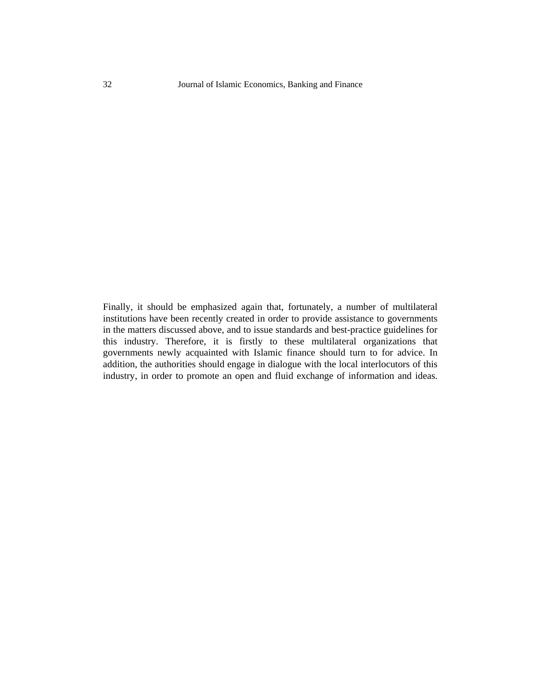Finally, it should be emphasized again that, fortunately, a number of multilateral institutions have been recently created in order to provide assistance to governments in the matters discussed above, and to issue standards and best-practice guidelines for this industry. Therefore, it is firstly to these multilateral organizations that governments newly acquainted with Islamic finance should turn to for advice. In addition, the authorities should engage in dialogue with the local interlocutors of this industry, in order to promote an open and fluid exchange of information and ideas.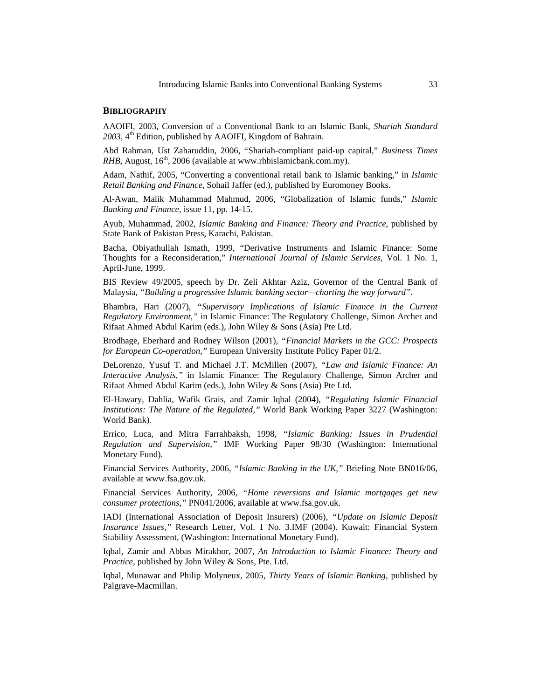#### **BIBLIOGRAPHY**

AAOIFI, 2003, Conversion of a Conventional Bank to an Islamic Bank, *Shariah Standard*  2003, 4<sup>th</sup> Edition, published by AAOIFI, Kingdom of Bahrain.

Abd Rahman, Ust Zaharuddin, 2006, "Shariah-compliant paid-up capital," *Business Times RHB*, August,  $16<sup>th</sup>$ , 2006 (available at www.rhbislamicbank.com.my).

Adam, Nathif, 2005, "Converting a conventional retail bank to Islamic banking," in *Islamic Retail Banking and Finance*, Sohail Jaffer (ed.), published by Euromoney Books.

Al-Awan, Malik Muhammad Mahmud, 2006, "Globalization of Islamic funds," *Islamic Banking and Finance*, issue 11, pp. 14-15.

Ayub, Muhammad, 2002, *Islamic Banking and Finance: Theory and Practice*, published by State Bank of Pakistan Press, Karachi, Pakistan.

Bacha, Obiyathullah Ismath, 1999, "Derivative Instruments and Islamic Finance: Some Thoughts for a Reconsideration," *International Journal of Islamic Services*, Vol. 1 No. 1, April-June, 1999.

BIS Review 49/2005, speech by Dr. Zeli Akhtar Aziz, Governor of the Central Bank of Malaysia, *"Building a progressive Islamic banking sector—charting the way forward".* 

Bhambra, Hari (2007), *"Supervisory Implications of Islamic Finance in the Current Regulatory Environment,"* in Islamic Finance: The Regulatory Challenge, Simon Archer and Rifaat Ahmed Abdul Karim (eds.), John Wiley & Sons (Asia) Pte Ltd.

Brodhage, Eberhard and Rodney Wilson (2001), *"Financial Markets in the GCC: Prospects for European Co-operation,"* European University Institute Policy Paper 01/2.

DeLorenzo, Yusuf T. and Michael J.T. McMillen (2007), *"Law and Islamic Finance: An Interactive Analysis,"* in Islamic Finance: The Regulatory Challenge, Simon Archer and Rifaat Ahmed Abdul Karim (eds.), John Wiley & Sons (Asia) Pte Ltd.

El-Hawary, Dahlia, Wafik Grais, and Zamir Iqbal (2004), *"Regulating Islamic Financial Institutions: The Nature of the Regulated,"* World Bank Working Paper 3227 (Washington: World Bank).

Errico, Luca, and Mitra Farrahbaksh, 1998, *"Islamic Banking: Issues in Prudential Regulation and Supervision,"* IMF Working Paper 98/30 (Washington: International Monetary Fund).

Financial Services Authority, 2006, *"Islamic Banking in the UK,"* Briefing Note BN016/06, available at www.fsa.gov.uk.

Financial Services Authority, 2006, *"Home reversions and Islamic mortgages get new consumer protections,"* PN041/2006, available at www.fsa.gov.uk.

IADI (International Association of Deposit Insurers) (2006), *"Update on Islamic Deposit Insurance Issues,"* Research Letter, Vol. 1 No. 3.IMF (2004). Kuwait: Financial System Stability Assessment, (Washington: International Monetary Fund).

Iqbal, Zamir and Abbas Mirakhor, 2007, *An Introduction to Islamic Finance: Theory and Practice*, published by John Wiley & Sons, Pte. Ltd.

Iqbal, Munawar and Philip Molyneux, 2005, *Thirty Years of Islamic Banking,* published by Palgrave-Macmillan.